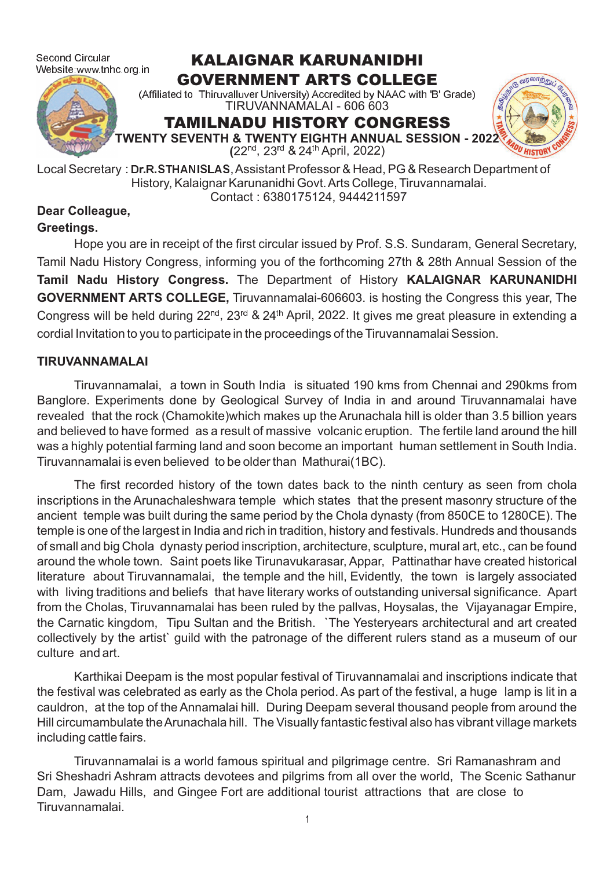Second Circular Website:www.tnhc.org.in

# KALAIGNAR KARUNANIDHI GOVERNMENT ARTS COLLEGE



TIRUVANNAMALAI - 606 603 (Affiliated to Thiruvalluver University) Accredited by NAAC with 'B' Grade)

# TAMILNADU HISTORY CONGRESS



**TWENTY SEVENTH & TWENTY EIGHTH ANNUAL SESSION - 2022**

(22<sup>nd</sup>, 23<sup>rd</sup> & 24<sup>th</sup> April, 2022)

Local Secretary : Dr.R.STHANISLAS, Assistant Professor & Head, PG & Research Department of History, Kalaignar Karunanidhi Govt.Arts College, Tiruvannamalai. Contact : 6380175124, 9444211597

# **Dear Colleague,**

### **Greetings.**

Hope you are in receipt of the first circular issued by Prof. S.S. Sundaram, General Secretary, Tamil Nadu History Congress, informing you of the forthcoming 27th & 28th Annual Session of the Tamil Nadu History Congress. The Department of History KALAIGNAR KARUNANIDHI **GOVERNMENT ARTS COLLEGE, Tiruvannamalai-606603. is hosting the Congress this year, The** Congress will be held during 22<sup>nd</sup>, 23<sup>rd</sup> & 24<sup>th</sup> April, 2022. It gives me great pleasure in extending a cordial Invitation to you to participate in the proceedings of the Tiruvannamalai Session.

### **TIRUVANNAMALAI**

Tiruvannamalai, a town in South India is situated 190 kms from Chennai and 290kms from Banglore. Experiments done by Geological Survey of India in and around Tiruvannamalai have revealed that the rock (Chamokite)which makes up the Arunachala hill is older than 3.5 billion years and believed to have formed as a result of massive volcanic eruption. The fertile land around the hill was a highly potential farming land and soon become an important human settlement in South India. Tiruvannamalai is even believed to be older than Mathurai(1BC).

The first recorded history of the town dates back to the ninth century as seen from chola inscriptions in the Arunachaleshwara temple which states that the present masonry structure of the ancient temple was built during the same period by the Chola dynasty (from 850CE to 1280CE). The temple is one of the largest in India and rich in tradition, history and festivals. Hundreds and thousands of small and big Chola dynasty period inscription, architecture, sculpture, mural art, etc., can be found around the whole town. Saint poets like Tirunavukarasar, Appar, Pattinathar have created historical literature about Tiruvannamalai, the temple and the hill, Evidently, the town is largely associated with living traditions and beliefs that have literary works of outstanding universal significance. Apart from the Cholas, Tiruvannamalai has been ruled by the pallvas, Hoysalas, the Vijayanagar Empire, the Carnatic kingdom, Tipu Sultan and the British. `The Yesteryears architectural and art created collectively by the artist` guild with the patronage of the different rulers stand as a museum of our culture and art.

Karthikai Deepam is the most popular festival of Tiruvannamalai and inscriptions indicate that the festival was celebrated as early as the Chola period. As part of the festival, a huge lamp is lit in a cauldron, at the top of the Annamalai hill. During Deepam several thousand people from around the Hill circumambulate theArunachala hill. The Visually fantastic festival also has vibrant village markets including cattle fairs.

Tiruvannamalai is a world famous spiritual and pilgrimage centre. Sri Ramanashram and Sri Sheshadri Ashram attracts devotees and pilgrims from all over the world, The Scenic Sathanur Dam, Jawadu Hills, and Gingee Fort are additional tourist attractions that are close to Tiruvannamalai.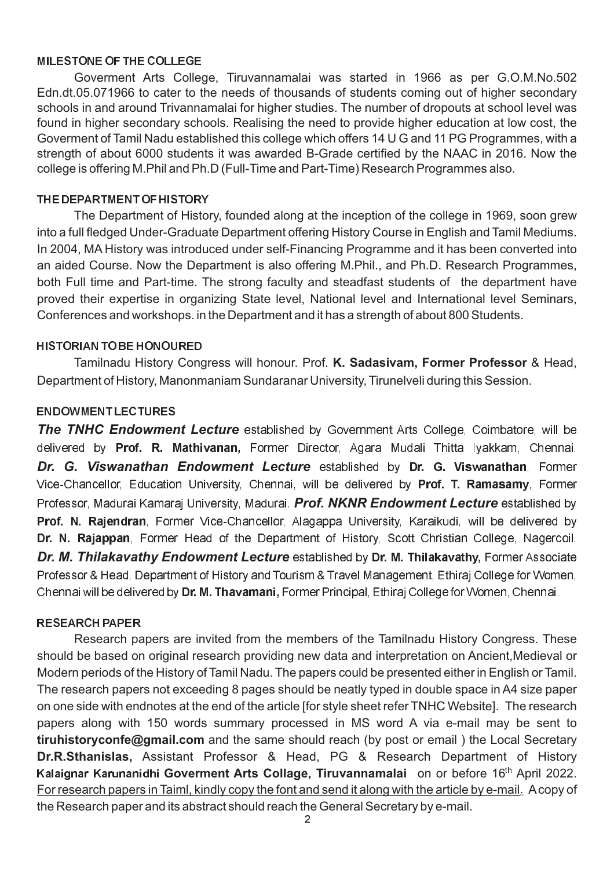#### MILESTONE OF THE COLLEGE

Goverment Arts College, Tiruvannamalai was started in 1966 as per G.O.M.No.502 Edn.dt.05.071966 to cater to the needs of thousands of students coming out of higher secondary schools in and around Trivannamalai for higher studies. The number of dropouts at school level was found in higher secondary schools. Realising the need to provide higher education at low cost, the Goverment of Tamil Nadu established this college which offers 14 U G and 11 PG Programmes, with a strength of about 6000 students it was awarded B-Grade certified by the NAAC in 2016. Now the college is offering M.Phil and Ph.D (Full-Time and Part-Time) Research Programmes also.

#### THE DEPARTMENT OF HISTORY

The Department of History, founded along at the inception of the college in 1969, soon grew into a full fledged Under-Graduate Department offering History Course in English and Tamil Mediums. In 2004, MA History was introduced under self-Financing Programme and it has been converted into an aided Course. Now the Department is also offering M.Phil., and Ph.D. Research Programmes, both Full time and Part-time. The strong faculty and steadfast students of the department have proved their expertise in organizing State level, National level and International level Seminars, Conferences and workshops. in the Department and it has a strength of about 800 Students.

#### HISTORIAN TO BE HONOURED

Tamilnadu History Congress will honour. Prof. K. Sadasivam, Former Professor & Head, Department of History, Manonmaniam Sundaranar University, Tirunelveli during this Session.

#### ENDOWMENT LECTURES

**The TNHC Endowment Lecture** established by Government Arts College, Coimbatore, will be **Dr. G. Viswanathan Endowment Lecture** established by Dr. G. Viswanathan, Former Professor, Madurai Kamaraj University, Madurai. *Prof. NKNR Endowment Lecture* established by *Dr. M. Thilakavathy Endowment Lecture* established by Dr. M. Thilakavathy, Former Associate delivered by **Prof. R. Mathivanan,** Former Director, Agara Mudali Thitta Iyakkam, Chennai. Vice-Chancellor, Education University, Chennai, will be delivered by Prof. T. Ramasamy, Former Prof. N. Rajendran, Former Vice-Chancellor, Alagappa University, Karaikudi, will be delivered by Dr. N. Rajappan, Former Head of the Department of History, Scott Christian College, Nagercoil. Professor & Head, Department of History and Tourism & Travel Management, Ethiraj College for Women, Chennai will be delivered by **Dr. M. Thavamani,** Former Principal, Ethiraj College for Women, Chennai.

#### RESEARCH PAPER

Kalaignar Karunanidhi Goverment Arts Collage, Tiruvannamalai on or before 16<sup>th</sup> April 2022. Research papers are invited from the members of the Tamilnadu History Congress. These should be based on original research providing new data and interpretation on Ancient,Medieval or Modern periods of the History of Tamil Nadu. The papers could be presented either in English or Tamil. The research papers not exceeding 8 pages should be neatly typed in double space in A4 size paper on one side with endnotes at the end of the article [for style sheet refer TNHC Website]. The research papers along with 150 words summary processed in MS word A via e-mail may be sent to **tiruhistoryconfe@gmail.com** and the same should reach (by post or email) the Local Secretary **Dr.R.Sthanislas,** Assistant Professor & Head, PG & Research Department of History For research papers in Taiml, kindly copy the font and send it along with the article by e-mail. A copy of the Research paper and its abstract should reach the General Secretary by e-mail.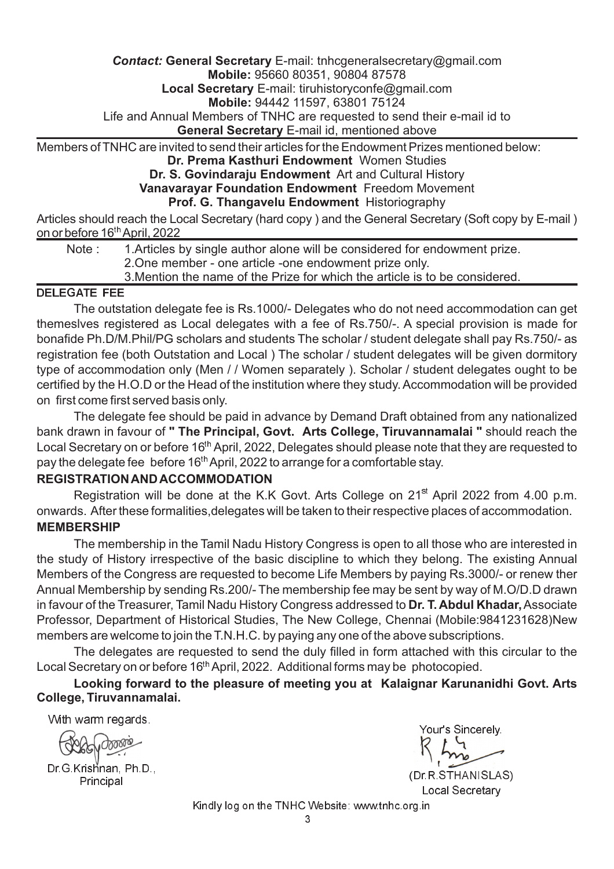#### *Contact:* **General Secretary** E-mail: tnhcgeneralsecretary@gmail.com **Mobile:** 95660 80351, 90804 87578

**Local Secretary** E-mail: tiruhistoryconfe@gmail.com

**Mobile:** 94442 11597, 63801 75124

Life and Annual Members of TNHC are requested to send their e-mail id to

**General Secretary** E-mail id, mentioned above

Members of TNHC are invited to send their articles for the Endowment Prizes mentioned below:

#### **Dr. Prema Kasthuri Endowment** Women Studies

### **Dr. S. Govindaraju Endowment** Art and Cultural History

**Vanavarayar Foundation Endowment** Freedom Movement

#### **Prof. G. Thangavelu Endowment** Historiography

Articles should reach the Local Secretary (hard copy ) and the General Secretary (Soft copy by E-mail ) <u>on or before 16<sup>th</sup> April, 2022</u>

Note : 1. Articles by single author alone will be considered for endowment prize. 2.One member - one article -one endowment prize only. 3.Mention the name of the Prize for which the article is to be considered.

## DELEGATE FEE

The outstation delegate fee is Rs.1000/- Delegates who do not need accommodation can get themeslves registered as Local delegates with a fee of Rs.750/-. A special provision is made for bonafide Ph.D/M.Phil/PG scholars and students The scholar / student delegate shall pay Rs.750/- as registration fee (both Outstation and Local ) The scholar / student delegates will be given dormitory type of accommodation only (Men / / Women separately ). Scholar / student delegates ought to be certified by the H.O.D or the Head of the institution where they study. Accommodation will be provided on first come first served basis only.

The delegate fee should be paid in advance by Demand Draft obtained from any nationalized bank drawn in favour of " The Principal, Govt. Arts College, Tiruvannamalai " should reach the Local Secretary on or before 16<sup>th</sup> April, 2022, Delegates should please note that they are requested to pay the delegate fee before 16<sup>th</sup> April, 2022 to arrange for a comfortable stay.

### **REGISTRATIONANDACCOMMODATION**

Registration will be done at the K.K Govt. Arts College on 21<sup>st</sup> April 2022 from 4.00 p.m. onwards. After these formalities,delegates will be taken to their respective places of accommodation. **MEMBERSHIP**

The membership in the Tamil Nadu History Congress is open to all those who are interested in the study of History irrespective of the basic discipline to which they belong. The existing Annual Members of the Congress are requested to become Life Members by paying Rs.3000/- or renew ther Annual Membership by sending Rs.200/- The membership fee may be sent by way of M.O/D.D drawn in favour of the Treasurer, Tamil Nadu History Congress addressed to **Dr. T. Abdul Khadar,** Associate Professor, Department of Historical Studies, The New College, Chennai (Mobile:9841231628)New members are welcome to join the T.N.H.C. by paying any one of the above subscriptions.

The delegates are requested to send the duly filled in form attached with this circular to the Local Secretary on or before 16<sup>th</sup> April, 2022. Additional forms may be photocopied.

**Looking forward to the pleasure of meeting you at Kalaignar Karunanidhi Govt. Arts College, Tiruvannamalai.**

With warm regards.

droois

Principal Dr.G.Krishnan, Ph.D.,

Your's Sincerely. (Dr.R.STHANISLAS)

Local Secretary

Kindly log on the TNHC Website: www.tnhc.org.in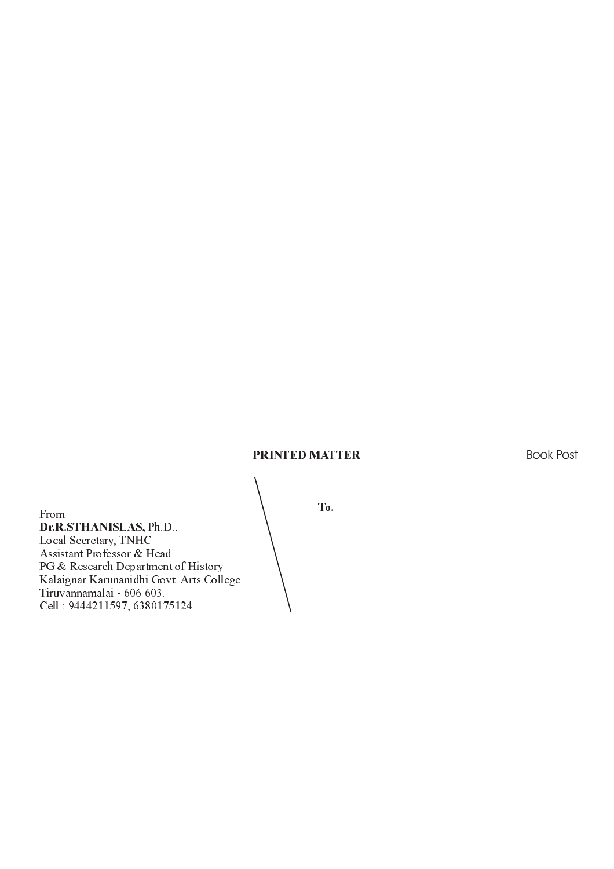#### PRINTED MATTER

Book Post

From  $\qquad \qquad \begin{array}{c} \text{I0.} \end{array}$ Dr.R.STHANISLAS, Ph.D., Local Secretary, TNHC Assistant Professor & Head PG & Research Department of History Kalaignar Karunanidhi Govt. Arts College Tiruvannamalai - 606 603. Cell : 9444211597, 6380175124